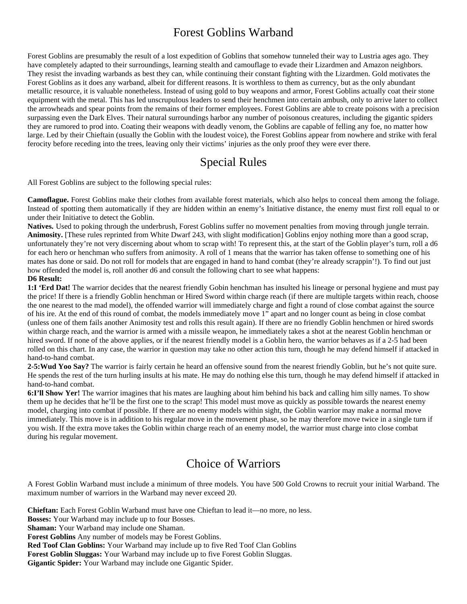# Forest Goblins Warband

Forest Goblins are presumably the result of a lost expedition of Goblins that somehow tunneled their way to Lustria ages ago. They have completely adapted to their surroundings, learning stealth and camouflage to evade their Lizardmen and Amazon neighbors. They resist the invading warbands as best they can, while continuing their constant fighting with the Lizardmen. Gold motivates the Forest Goblins as it does any warband, albeit for different reasons. It is worthless to them as currency, but as the only abundant metallic resource, it is valuable nonetheless. Instead of using gold to buy weapons and armor, Forest Goblins actually coat their stone equipment with the metal. This has led unscrupulous leaders to send their henchmen into certain ambush, only to arrive later to collect the arrowheads and spear points from the remains of their former employees. Forest Goblins are able to create poisons with a precision surpassing even the Dark Elves. Their natural surroundings harbor any number of poisonous creatures, including the gigantic spiders they are rumored to prod into. Coating their weapons with deadly venom, the Goblins are capable of felling any foe, no matter how large. Led by their Chieftain (usually the Goblin with the loudest voice), the Forest Goblins appear from nowhere and strike with feral ferocity before receding into the trees, leaving only their victims' injuries as the only proof they were ever there.

# Special Rules

All Forest Goblins are subject to the following special rules:

**Camoflague.** Forest Goblins make their clothes from available forest materials, which also helps to conceal them among the foliage. Instead of spotting them automatically if they are hidden within an enemy's Initiative distance, the enemy must first roll equal to or under their Initiative to detect the Goblin.

**Natives.** Used to poking through the underbrush, Forest Goblins suffer no movement penalties from moving through jungle terrain. **Animosity.** [These rules reprinted from White Dwarf 243, with slight modification] Goblins enjoy nothing more than a good scrap, unfortunately they're not very discerning about whom to scrap with! To represent this, at the start of the Goblin player's turn, roll a d6 for each hero or henchman who suffers from animosity. A roll of 1 means that the warrior has taken offense to something one of his mates has done or said. Do not roll for models that are engaged in hand to hand combat (they're already scrappin'!). To find out just how offended the model is, roll another d6 and consult the following chart to see what happens:

## **D6 Result:**

**1:I 'Erd Dat!** The warrior decides that the nearest friendly Gobin henchman has insulted his lineage or personal hygiene and must pay the price! If there is a friendly Goblin henchman or Hired Sword within charge reach (if there are multiple targets within reach, choose the one nearest to the mad model), the offended warrior will immediately charge and fight a round of close combat against the source of his ire. At the end of this round of combat, the models immediately move 1" apart and no longer count as being in close combat (unless one of them fails another Animosity test and rolls this result again). If there are no friendly Goblin henchmen or hired swords within charge reach, and the warrior is armed with a missile weapon, he immediately takes a shot at the nearest Goblin henchman or hired sword. If none of the above applies, or if the nearest friendly model is a Goblin hero, the warrior behaves as if a 2-5 had been rolled on this chart. In any case, the warrior in question may take no other action this turn, though he may defend himself if attacked in hand-to-hand combat.

**2-5:Wud Yoo Say?** The warrior is fairly certain he heard an offensive sound from the nearest friendly Goblin, but he's not quite sure. He spends the rest of the turn hurling insults at his mate. He may do nothing else this turn, though he may defend himself if attacked in hand-to-hand combat.

**6:I'll Show Yer!** The warrior imagines that his mates are laughing about him behind his back and calling him silly names. To show them up he decides that he'll be the first one to the scrap! This model must move as quickly as possible towards the nearest enemy model, charging into combat if possible. If there are no enemy models within sight, the Goblin warrior may make a normal move immediately. This move is in addition to his regular move in the movement phase, so he may therefore move twice in a single turn if you wish. If the extra move takes the Goblin within charge reach of an enemy model, the warrior must charge into close combat during his regular movement.

# Choice of Warriors

A Forest Goblin Warband must include a minimum of three models. You have 500 Gold Crowns to recruit your initial Warband. The maximum number of warriors in the Warband may never exceed 20.

**Chieftan:** Each Forest Goblin Warband must have one Chieftan to lead it—no more, no less. **Bosses:** Your Warband may include up to four Bosses.

**Shaman:** Your Warband may include one Shaman.

**Forest Goblins** Any number of models may be Forest Goblins.

**Red Toof Clan Goblins:** Your Warband may include up to five Red Toof Clan Goblins

**Forest Goblin Sluggas:** Your Warband may include up to five Forest Goblin Sluggas.

**Gigantic Spider:** Your Warband may include one Gigantic Spider.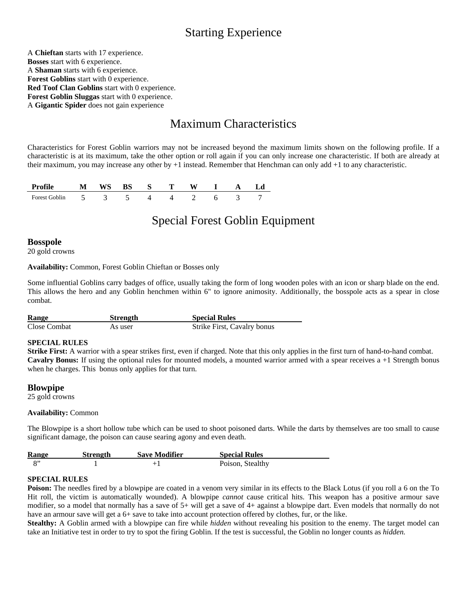# Starting Experience

A **Chieftan** starts with 17 experience. **Bosses** start with 6 experience. A **Shaman** starts with 6 experience. **Forest Goblins** start with 0 experience. **Red Toof Clan Goblins** start with 0 experience. **Forest Goblin Sluggas** start with 0 experience. A **Gigantic Spider** does not gain experience

# Maximum Characteristics

Characteristics for Forest Goblin warriors may not be increased beyond the maximum limits shown on the following profile. If a characteristic is at its maximum, take the other option or roll again if you can only increase one characteristic. If both are already at their maximum, you may increase any other by +1 instead. Remember that Henchman can only add +1 to any characteristic.

| Profile              | WS |  |  |  |  |
|----------------------|----|--|--|--|--|
| <b>Forest Goblin</b> |    |  |  |  |  |

# Special Forest Goblin Equipment

## **Bosspole**

20 gold crowns

**Availability:** Common, Forest Goblin Chieftan or Bosses only

Some influential Goblins carry badges of office, usually taking the form of long wooden poles with an icon or sharp blade on the end. This allows the hero and any Goblin henchmen within 6" to ignore animosity. Additionally, the bosspole acts as a spear in close combat.

| <b>Range</b> | Strength | <b>Special Rules</b>        |
|--------------|----------|-----------------------------|
| Close Combat | As user  | Strike First, Cavalry bonus |

### **SPECIAL RULES**

**Strike First:** A warrior with a spear strikes first, even if charged. Note that this only applies in the first turn of hand-to-hand combat. **Cavalry Bonus:** If using the optional rules for mounted models, a mounted warrior armed with a spear receives a +1 Strength bonus when he charges. This bonus only applies for that turn.

## **Blowpipe**

25 gold crowns

### **Availability:** Common

The Blowpipe is a short hollow tube which can be used to shoot poisoned darts. While the darts by themselves are too small to cause significant damage, the poison can cause searing agony and even death.

| Range        | Strength | <b>Save Modifier</b> | <b>Special Rules</b> |  |
|--------------|----------|----------------------|----------------------|--|
| $\mathbf{S}$ |          |                      | Poison, Stealthy     |  |

## **SPECIAL RULES**

**Poison:** The needles fired by a blowpipe are coated in a venom very similar in its effects to the Black Lotus (if you roll a 6 on the To Hit roll, the victim is automatically wounded). A blowpipe *cannot* cause critical hits. This weapon has a positive armour save modifier, so a model that normally has a save of 5+ will get a save of 4+ against a blowpipe dart. Even models that normally do not have an armour save will get a 6+ save to take into account protection offered by clothes, fur, or the like.

**Stealthy:** A Goblin armed with a blowpipe can fire while *hidden* without revealing his position to the enemy. The target model can take an Initiative test in order to try to spot the firing Goblin. If the test is successful, the Goblin no longer counts as *hidden.*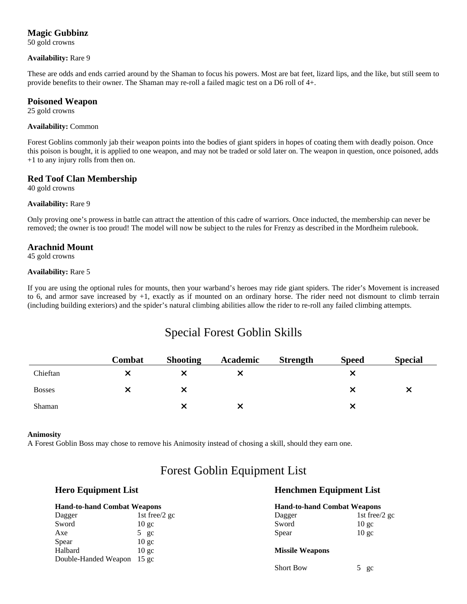# **Magic Gubbinz**

50 gold crowns

#### **Availability:** Rare 9

These are odds and ends carried around by the Shaman to focus his powers. Most are bat feet, lizard lips, and the like, but still seem to provide benefits to their owner. The Shaman may re-roll a failed magic test on a D6 roll of 4+.

### **Poisoned Weapon**

25 gold crowns

#### **Availability:** Common

Forest Goblins commonly jab their weapon points into the bodies of giant spiders in hopes of coating them with deadly poison. Once this poison is bought, it is applied to one weapon, and may not be traded or sold later on. The weapon in question, once poisoned, adds +1 to any injury rolls from then on.

## **Red Toof Clan Membership**

40 gold crowns

### **Availability:** Rare 9

Only proving one's prowess in battle can attract the attention of this cadre of warriors. Once inducted, the membership can never be removed; the owner is too proud! The model will now be subject to the rules for Frenzy as described in the Mordheim rulebook.

## **Arachnid Mount**

45 gold crowns

#### **Availability:** Rare 5

If you are using the optional rules for mounts, then your warband's heroes may ride giant spiders. The rider's Movement is increased to 6, and armor save increased by +1, exactly as if mounted on an ordinary horse. The rider need not dismount to climb terrain (including building exteriors) and the spider's natural climbing abilities allow the rider to re-roll any failed climbing attempts.

# Special Forest Goblin Skills

|               | Combat | <b>Shooting</b> | Academic | Strength | <b>Speed</b> | <b>Special</b> |
|---------------|--------|-----------------|----------|----------|--------------|----------------|
| Chieftan      |        |                 |          |          |              |                |
| <b>Bosses</b> |        |                 |          |          |              | Х              |
| Shaman        |        |                 |          |          |              |                |

#### **Animosity**

A Forest Goblin Boss may chose to remove his Animosity instead of chosing a skill, should they earn one.

# Forest Goblin Equipment List

# **Hero Equipment List Henchmen Equipment List**

Short Bow 5 gc

| <b>Hand-to-hand Combat Weapons</b> |                 | <b>Hand-to-hand Combat Weapons</b> |                  |  |
|------------------------------------|-----------------|------------------------------------|------------------|--|
| Dagger                             | 1st free/2 gc   | Dagger                             | 1st free/2 gc    |  |
| Sword                              | $10 \text{ gc}$ | Sword                              | 10 <sub>gc</sub> |  |
| Axe                                | $5 \text{ gc}$  | Spear                              | 10 <sub>gc</sub> |  |
| Spear                              | $10 \text{ gc}$ |                                    |                  |  |
| Halbard                            | $10 \text{ g}c$ | <b>Missile Weapons</b>             |                  |  |
| Double-Handed Weapon               | $15 \text{ gc}$ |                                    |                  |  |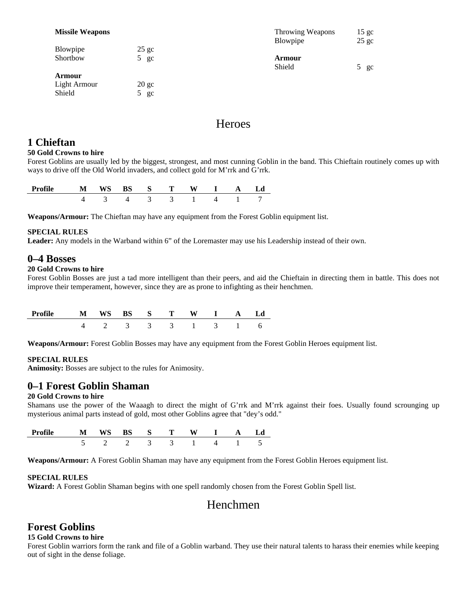#### **Missile Weapons**

| Blowpipe | $25$ gc        | .      |
|----------|----------------|--------|
| Shortbow | $5 \text{ gc}$ | Armour |
|          |                | Shield |

| <b>Armour</b> |                 |  |
|---------------|-----------------|--|
| Light Armour  | $20 \text{ gc}$ |  |
| Shield        | $5$ gc          |  |

| <b>Throwing Weapons</b><br>Blowpipe | $25$ gc | 15 <sub>gc</sub> |
|-------------------------------------|---------|------------------|
| <b>Armour</b><br>Shield             | $5$ gc  |                  |

# **Heroes**

# **1 Chieftan**

#### **50 Gold Crowns to hire**

Forest Goblins are usually led by the biggest, strongest, and most cunning Goblin in the band. This Chieftain routinely comes up with ways to drive off the Old World invaders, and collect gold for M'rrk and G'rrk.

| $\cdots$ $\mathbf{e}$ | ----<br>N | ັ້ | m                        | --- |  | Л |
|-----------------------|-----------|----|--------------------------|-----|--|---|
|                       |           |    | $\overline{\phantom{a}}$ |     |  |   |

**Weapons/Armour:** The Chieftan may have any equipment from the Forest Goblin equipment list.

### **SPECIAL RULES**

**Leader:** Any models in the Warband within 6" of the Loremaster may use his Leadership instead of their own.

## **0–4 Bosses**

### **20 Gold Crowns to hire**

Forest Goblin Bosses are just a tad more intelligent than their peers, and aid the Chieftain in directing them in battle. This does not improve their temperament, however, since they are as prone to infighting as their henchmen.

| $\mathbf{M}$ |  |  | WS BS S T W I A |     | L.d |
|--------------|--|--|-----------------|-----|-----|
|              |  |  | 3 3 3 1 3       | - 1 |     |

**Weapons/Armour:** Forest Goblin Bosses may have any equipment from the Forest Goblin Heroes equipment list.

#### **SPECIAL RULES**

**Animosity:** Bosses are subject to the rules for Animosity.

# **0–1 Forest Goblin Shaman**

### **20 Gold Crowns to hire**

Shamans use the power of the Waaagh to direct the might of G'rrk and M'rrk against their foes. Usually found scrounging up mysterious animal parts instead of gold, most other Goblins agree that "dey's odd."

| Profile |  | S. |  |  | ı d |
|---------|--|----|--|--|-----|
|         |  |    |  |  |     |

**Weapons/Armour:** A Forest Goblin Shaman may have any equipment from the Forest Goblin Heroes equipment list.

### **SPECIAL RULES**

**Wizard:** A Forest Goblin Shaman begins with one spell randomly chosen from the Forest Goblin Spell list.

# Henchmen

# **Forest Goblins**

### **15 Gold Crowns to hire**

Forest Goblin warriors form the rank and file of a Goblin warband. They use their natural talents to harass their enemies while keeping out of sight in the dense foliage.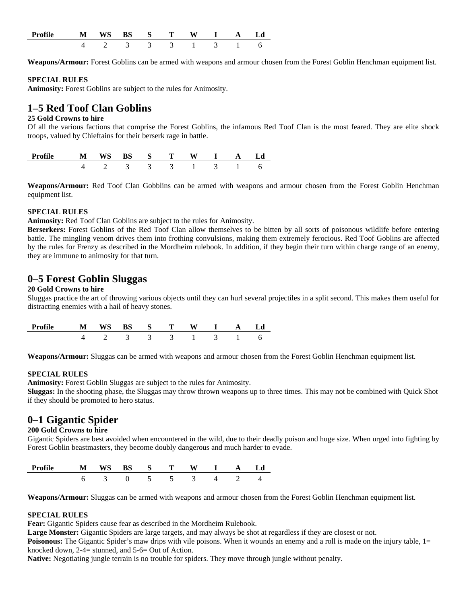| <b>Profile</b> | м | WS<br>ີ |                 | $\mathbf{S}$ and $\mathbf{S}$ | W | A |  |
|----------------|---|---------|-----------------|-------------------------------|---|---|--|
|                |   |         | $\sim$ 4 $\sim$ | $\sim$ $\sim$                 |   |   |  |

**Weapons/Armour:** Forest Goblins can be armed with weapons and armour chosen from the Forest Goblin Henchman equipment list.

#### **SPECIAL RULES**

**Animosity:** Forest Goblins are subject to the rules for Animosity.

# **1–5 Red Toof Clan Goblins**

#### **25 Gold Crowns to hire**

Of all the various factions that comprise the Forest Goblins, the infamous Red Toof Clan is the most feared. They are elite shock troops, valued by Chieftains for their berserk rage in battle.

| Profile |  |        | $S \t S$      |  |        |  |
|---------|--|--------|---------------|--|--------|--|
|         |  | $\sim$ | $\sim$ $\sim$ |  | $\sim$ |  |

**Weapons/Armour:** Red Toof Clan Gobblins can be armed with weapons and armour chosen from the Forest Goblin Henchman equipment list.

#### **SPECIAL RULES**

**Animosity:** Red Toof Clan Goblins are subject to the rules for Animosity.

**Berserkers:** Forest Goblins of the Red Toof Clan allow themselves to be bitten by all sorts of poisonous wildlife before entering battle. The mingling venom drives them into frothing convulsions, making them extremely ferocious. Red Toof Goblins are affected by the rules for Frenzy as described in the Mordheim rulebook. In addition, if they begin their turn within charge range of an enemy, they are immune to animosity for that turn.

# **0–5 Forest Goblin Sluggas**

#### **20 Gold Crowns to hire**

Sluggas practice the art of throwing various objects until they can hurl several projectiles in a split second. This makes them useful for distracting enemies with a hail of heavy stones.

| Profile | $\mathbf{M}$ | WS | RS S T |           | $I \qquad A$ |     |  |
|---------|--------------|----|--------|-----------|--------------|-----|--|
|         |              |    |        | 3 3 3 1 3 |              | - 1 |  |

**Weapons/Armour:** Sluggas can be armed with weapons and armour chosen from the Forest Goblin Henchman equipment list.

### **SPECIAL RULES**

**Animosity:** Forest Goblin Sluggas are subject to the rules for Animosity.

**Sluggas:** In the shooting phase, the Sluggas may throw thrown weapons up to three times. This may not be combined with Quick Shot if they should be promoted to hero status.

# **0–1 Gigantic Spider**

#### **200 Gold Crowns to hire**

Gigantic Spiders are best avoided when encountered in the wild, due to their deadly poison and huge size. When urged into fighting by Forest Goblin beastmasters, they become doubly dangerous and much harder to evade.

| Profil | M | WC<br>ັ | $\mathbf{5}$ | m |  | -- |  |
|--------|---|---------|--------------|---|--|----|--|
|        |   |         |              | - |  |    |  |

**Weapons/Armour:** Sluggas can be armed with weapons and armour chosen from the Forest Goblin Henchman equipment list.

#### **SPECIAL RULES**

**Fear:** Gigantic Spiders cause fear as described in the Mordheim Rulebook.

**Large Monster:** Gigantic Spiders are large targets, and may always be shot at regardless if they are closest or not.

**Poisonous:** The Gigantic Spider's maw drips with vile poisons. When it wounds an enemy and a roll is made on the injury table, 1= knocked down, 2-4= stunned, and 5-6= Out of Action.

**Native:** Negotiating jungle terrain is no trouble for spiders. They move through jungle without penalty.